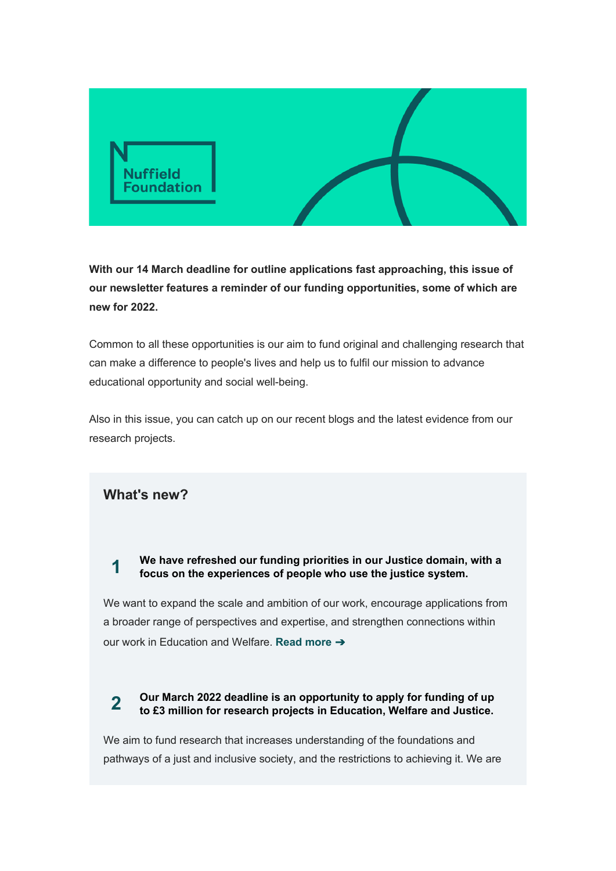

**With our 14 March deadline for outline applications fast approaching, this issue of our newsletter features a reminder of our funding opportunities, some of which are new for 2022.**

Common to all these opportunities is our aim to fund original and challenging research that can make a difference to people's lives and help us to fulfil our mission to advance educational opportunity and social well-being.

Also in this issue, you can catch up on our recent blogs and the latest evidence from our research projects.

## **What's new?**

## **1 We have refreshed our funding priorities in our Justice domain, with a focus on the experiences of people who use the justice system.**

We want to expand the scale and ambition of our work, encourage applications from a broader range of perspectives and expertise, and strengthen connections within our work in Education and Welfare. **Read [more](https://nuffieldfoundation.us1.list-manage.com/track/click?u=7614620d1284fd7ff1c97d04d&id=0ea03b01cb&e=5a3dfd2651)** [➔](https://nuffieldfoundation.us1.list-manage.com/track/click?u=7614620d1284fd7ff1c97d04d&id=0ea03b01cb&e=5a3dfd2651)

# **2 Our March 2022 deadline is an opportunity to apply for funding of up to £3 million for research projects in Education, Welfare and Justice.**

We aim to fund research that increases understanding of the foundations and pathways of a just and inclusive society, and the restrictions to achieving it. We are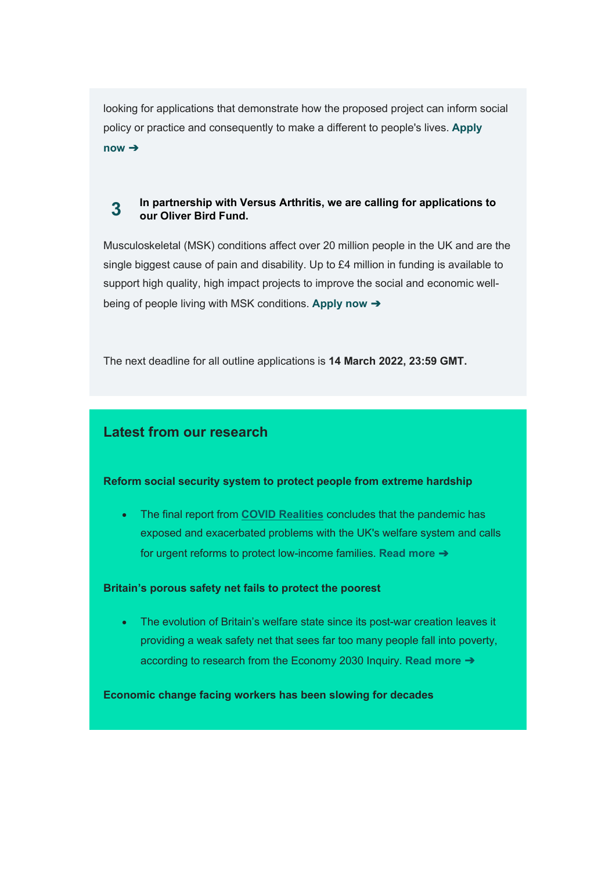looking for applications that demonstrate how the proposed project can inform social policy or practice and consequently to make a different to people's lives. **[Apply](https://nuffieldfoundation.us1.list-manage.com/track/click?u=7614620d1284fd7ff1c97d04d&id=516f0846ad&e=5a3dfd2651) [now](https://nuffieldfoundation.us1.list-manage.com/track/click?u=7614620d1284fd7ff1c97d04d&id=516f0846ad&e=5a3dfd2651)** ➔

## **3 In partnership with Versus Arthritis, we are calling for applications to our Oliver Bird Fund.**

Musculoskeletal (MSK) conditions affect over 20 million people in the UK and are the single biggest cause of pain and disability. Up to £4 million in funding is available to support high quality, high impact projects to improve the social and economic wellbeing of people living with MSK conditions. **[Apply](https://nuffieldfoundation.us1.list-manage.com/track/click?u=7614620d1284fd7ff1c97d04d&id=3f6c561560&e=5a3dfd2651) now** [➔](https://nuffieldfoundation.us1.list-manage.com/track/click?u=7614620d1284fd7ff1c97d04d&id=3f6c561560&e=5a3dfd2651)

The next deadline for all outline applications is **14 March 2022, 23:59 GMT.**

## **Latest from our research**

#### **Reform social security system to protect people from extreme hardship**

• The final report from **[COVID Realities](https://nuffieldfoundation.us1.list-manage.com/track/click?u=7614620d1284fd7ff1c97d04d&id=8064da27b2&e=5a3dfd2651)** concludes that the pandemic has exposed and exacerbated problems with the UK's welfare system and calls for urgent reforms to protect low-income families. **Read [more](https://nuffieldfoundation.us1.list-manage.com/track/click?u=7614620d1284fd7ff1c97d04d&id=c610745a64&e=5a3dfd2651)** [➔](https://nuffieldfoundation.us1.list-manage.com/track/click?u=7614620d1284fd7ff1c97d04d&id=c610745a64&e=5a3dfd2651)

#### **Britain's porous safety net fails to protect the poorest**

• The evolution of Britain's welfare state since its post-war creation leaves it providing a weak safety net that sees far too many people fall into poverty, according to research from the Economy 2030 Inquiry. **[Read](https://nuffieldfoundation.us1.list-manage.com/track/click?u=7614620d1284fd7ff1c97d04d&id=fa3b2723d3&e=5a3dfd2651) more** [➔](https://nuffieldfoundation.us1.list-manage.com/track/click?u=7614620d1284fd7ff1c97d04d&id=fa3b2723d3&e=5a3dfd2651)

**Economic change facing workers has been slowing for decades**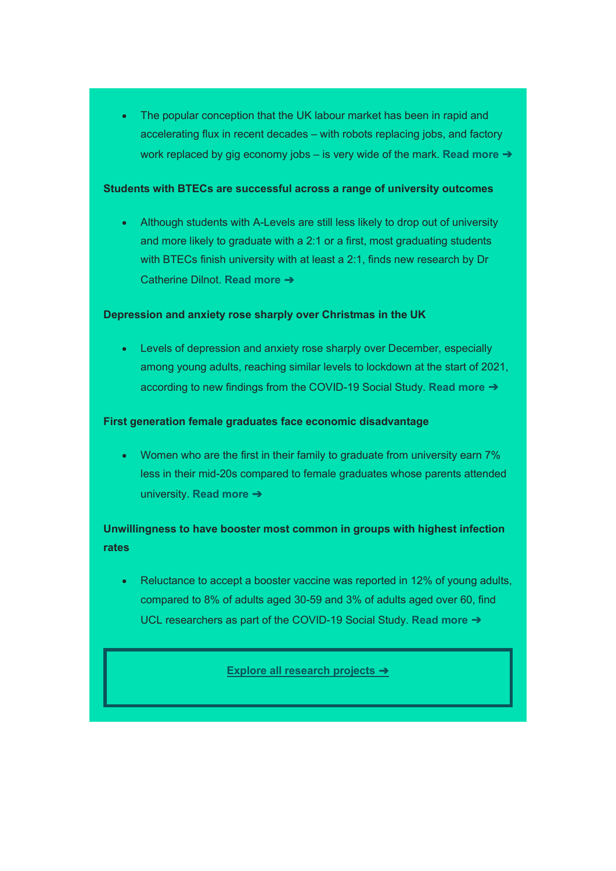• The popular conception that the UK labour market has been in rapid and accelerating flux in recent decades – with robots replacing jobs, and factory work replaced by gig economy jobs – is very wide of the mark. **Read [more](https://nuffieldfoundation.us1.list-manage.com/track/click?u=7614620d1284fd7ff1c97d04d&id=6527141626&e=5a3dfd2651)** [➔](https://nuffieldfoundation.us1.list-manage.com/track/click?u=7614620d1284fd7ff1c97d04d&id=6527141626&e=5a3dfd2651)

#### **Students with BTECs are successful across a range of university outcomes**

• Although students with A-Levels are still less likely to drop out of university and more likely to graduate with a 2:1 or a first, most graduating students with BTECs finish university with at least a 2:1, finds new research by Dr Catherine Dilnot. **[Read](https://nuffieldfoundation.us1.list-manage.com/track/click?u=7614620d1284fd7ff1c97d04d&id=5970613e0c&e=5a3dfd2651) more** [➔](https://nuffieldfoundation.us1.list-manage.com/track/click?u=7614620d1284fd7ff1c97d04d&id=5970613e0c&e=5a3dfd2651)

#### **Depression and anxiety rose sharply over Christmas in the UK**

• Levels of depression and anxiety rose sharply over December, especially among young adults, reaching similar levels to lockdown at the start of 2021, according to new findings from the COVID-19 Social Study. **[Read](https://nuffieldfoundation.us1.list-manage.com/track/click?u=7614620d1284fd7ff1c97d04d&id=1d9fd3d55e&e=5a3dfd2651) more** [➔](https://nuffieldfoundation.us1.list-manage.com/track/click?u=7614620d1284fd7ff1c97d04d&id=1d9fd3d55e&e=5a3dfd2651)

#### **First generation female graduates face economic disadvantage**

• Women who are the first in their family to graduate from university earn 7% less in their mid-20s compared to female graduates whose parents attended university. **[Read](https://nuffieldfoundation.us1.list-manage.com/track/click?u=7614620d1284fd7ff1c97d04d&id=570ae0488e&e=5a3dfd2651) more** [➔](https://nuffieldfoundation.us1.list-manage.com/track/click?u=7614620d1284fd7ff1c97d04d&id=570ae0488e&e=5a3dfd2651)

## **Unwillingness to have booster most common in groups with highest infection rates**

• Reluctance to accept a booster vaccine was reported in 12% of young adults, compared to 8% of adults aged 30-59 and 3% of adults aged over 60, find UCL researchers as part of the COVID-19 Social Study. **[Read](https://nuffieldfoundation.us1.list-manage.com/track/click?u=7614620d1284fd7ff1c97d04d&id=e11e48b857&e=5a3dfd2651) more** [➔](https://nuffieldfoundation.us1.list-manage.com/track/click?u=7614620d1284fd7ff1c97d04d&id=e11e48b857&e=5a3dfd2651)

#### **[Explore all research projects](https://nuffieldfoundation.us1.list-manage.com/track/click?u=7614620d1284fd7ff1c97d04d&id=71ed44907b&e=5a3dfd2651)** [➔](https://nuffieldfoundation.us1.list-manage.com/track/click?u=7614620d1284fd7ff1c97d04d&id=71ed44907b&e=5a3dfd2651)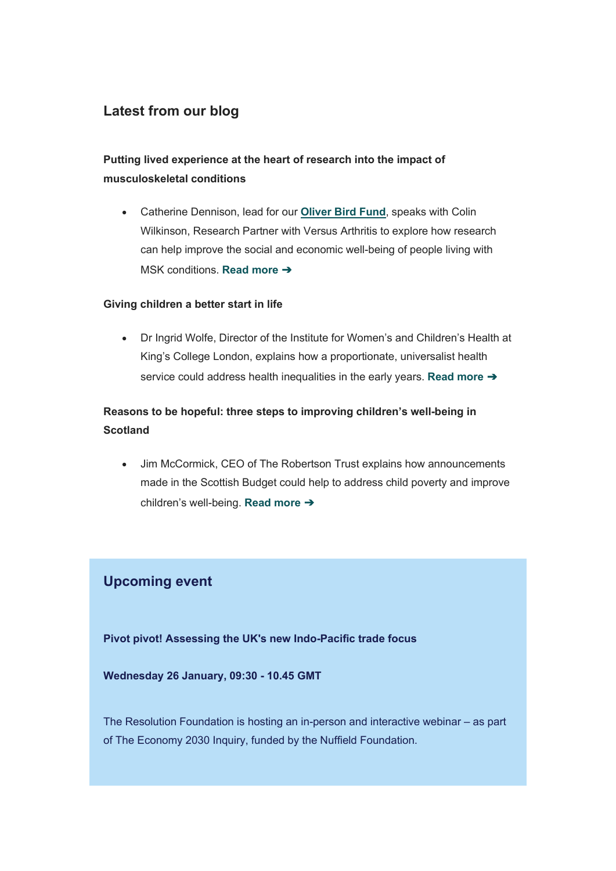## **Latest from our blog**

## **Putting lived experience at the heart of research into the impact of musculoskeletal conditions**

• Catherine Dennison, lead for our **[Oliver Bird Fund](https://nuffieldfoundation.us1.list-manage.com/track/click?u=7614620d1284fd7ff1c97d04d&id=aa384ee0d6&e=5a3dfd2651)**, speaks with Colin Wilkinson, Research Partner with Versus Arthritis to explore how research can help improve the social and economic well-being of people living with MSK conditions. **[Read](https://nuffieldfoundation.us1.list-manage.com/track/click?u=7614620d1284fd7ff1c97d04d&id=507674d42b&e=5a3dfd2651) more** [➔](https://nuffieldfoundation.us1.list-manage.com/track/click?u=7614620d1284fd7ff1c97d04d&id=507674d42b&e=5a3dfd2651)

### **Giving children a better start in life**

• Dr Ingrid Wolfe, Director of the Institute for Women's and Children's Health at King's College London, explains how a proportionate, universalist health service could address health inequalities in the early years. **[Read](https://nuffieldfoundation.us1.list-manage.com/track/click?u=7614620d1284fd7ff1c97d04d&id=240d509cd6&e=5a3dfd2651) more** [➔](https://nuffieldfoundation.us1.list-manage.com/track/click?u=7614620d1284fd7ff1c97d04d&id=240d509cd6&e=5a3dfd2651)

## **Reasons to be hopeful: three steps to improving children's well-being in Scotland**

• Jim McCormick, CEO of The Robertson Trust explains how announcements made in the Scottish Budget could help to address child poverty and improve children's well-being. **Read [more](https://nuffieldfoundation.us1.list-manage.com/track/click?u=7614620d1284fd7ff1c97d04d&id=ef03e10b34&e=5a3dfd2651)** [➔](https://nuffieldfoundation.us1.list-manage.com/track/click?u=7614620d1284fd7ff1c97d04d&id=ef03e10b34&e=5a3dfd2651)

## **Upcoming event**

**Pivot pivot! Assessing the UK's new Indo-Pacific trade focus**

**Wednesday 26 January, 09:30 - 10.45 GMT**

The Resolution Foundation is hosting an in-person and interactive webinar – as part of The Economy 2030 Inquiry, funded by the Nuffield Foundation.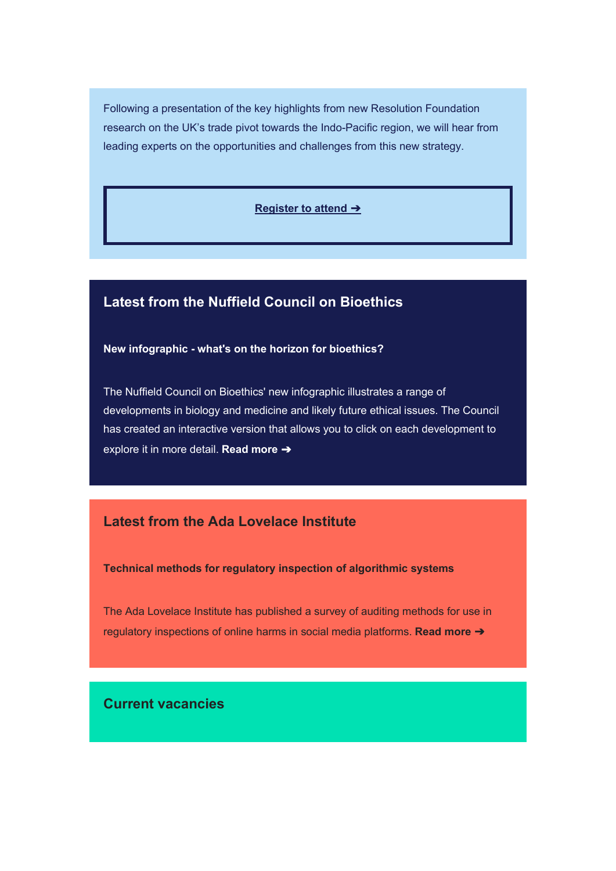Following a presentation of the key highlights from new Resolution Foundation research on the UK's trade pivot towards the Indo-Pacific region, we will hear from leading experts on the opportunities and challenges from this new strategy.

#### **[Register to attend](https://nuffieldfoundation.us1.list-manage.com/track/click?u=7614620d1284fd7ff1c97d04d&id=aa720210a0&e=5a3dfd2651)** [➔](https://nuffieldfoundation.us1.list-manage.com/track/click?u=7614620d1284fd7ff1c97d04d&id=aa720210a0&e=5a3dfd2651)

## **Latest from the Nuffield Council on Bioethics**

#### **New infographic - what's on the horizon for bioethics?**

The Nuffield Council on Bioethics' new infographic illustrates a range of developments in biology and medicine and likely future ethical issues. The Council has created an interactive version that allows you to click on each development to explore it in more detail. **[Read](https://nuffieldfoundation.us1.list-manage.com/track/click?u=7614620d1284fd7ff1c97d04d&id=4d74c43e56&e=5a3dfd2651) more** [➔](https://nuffieldfoundation.us1.list-manage.com/track/click?u=7614620d1284fd7ff1c97d04d&id=4d74c43e56&e=5a3dfd2651)

## **Latest from the Ada Lovelace Institute**

**Technical methods for regulatory inspection of algorithmic systems**

The Ada Lovelace Institute has published a survey of auditing methods for use in regulatory inspections of online harms in social media platforms. **Read [more](https://nuffieldfoundation.us1.list-manage.com/track/click?u=7614620d1284fd7ff1c97d04d&id=4dac949977&e=5a3dfd2651)** [➔](https://nuffieldfoundation.us1.list-manage.com/track/click?u=7614620d1284fd7ff1c97d04d&id=4dac949977&e=5a3dfd2651)

## **Current vacancies**